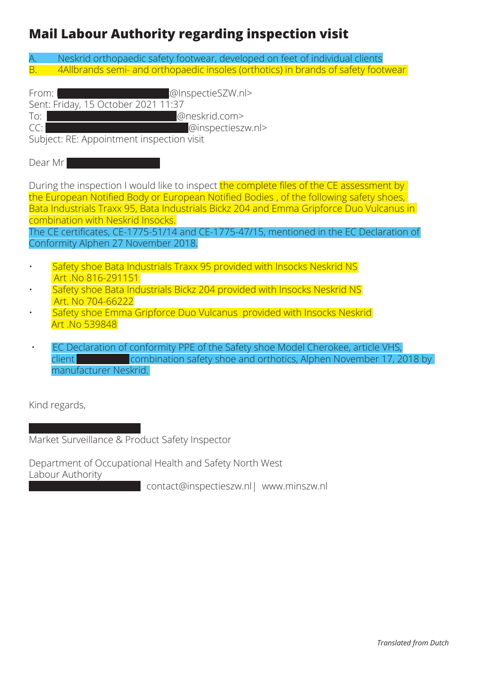## **Mail Labour Authority regarding inspection visit**

A. Neskrid orthopaedic safety footwear, developed on feet of individual clients B. 4Allbrands semi- and orthopaedic insoles (orthotics) in brands of safety footwear

From: Hek, M.A.M. (@InspectieSZW.nl>

Sent: Friday, 15 October 2021 11:37

To: @neskrid.com>

CC: Postman-Koolen, Coolen, Postman-Koolen, Postman-Koolen, Postman-Koolen, Postman-Koolen, Postman-Koolen, Po

Subject: RE: Appointment inspection visit

Dear Mr Pijnenburg in de

During the inspection I would like to inspect the complete files of the CE assessment by the European Notified Body or European Notified Bodies , of the following safety shoes, Bata Industrials Traxx 95, Bata Industrials Bickz 204 and Emma Gripforce Duo Vulcanus in combination with Neskrid Insocks.

The CE certificates, CE-1775-51/14 and CE-1775-47/15, mentioned in the EC Declaration of Conformity Alphen 27 November 2018.

- Safety shoe Bata Industrials Traxx 95 provided with Insocks Neskrid NS Art .No 816-291151
- Safety shoe Bata Industrials Bickz 204 provided with Insocks Neskrid NS Art. No 704-66222
- Safety shoe Emma Gripforce Duo Vulcanus provided with Insocks Neskrid Art .No 539848
- EC Declaration of conformity PPE of the Safety shoe Model Cherokee, article VHS, client **Exercise 3 combination safety shoe and orthotics, Alphen November 17, 2018 by** manufacturer Neskrid.

Kind regards,

Market Surveillance & Product Safety Inspector

Department of Occupational Health and Safety North West Labour Authority

contact@inspectieszw.nl| www.minszw.nl